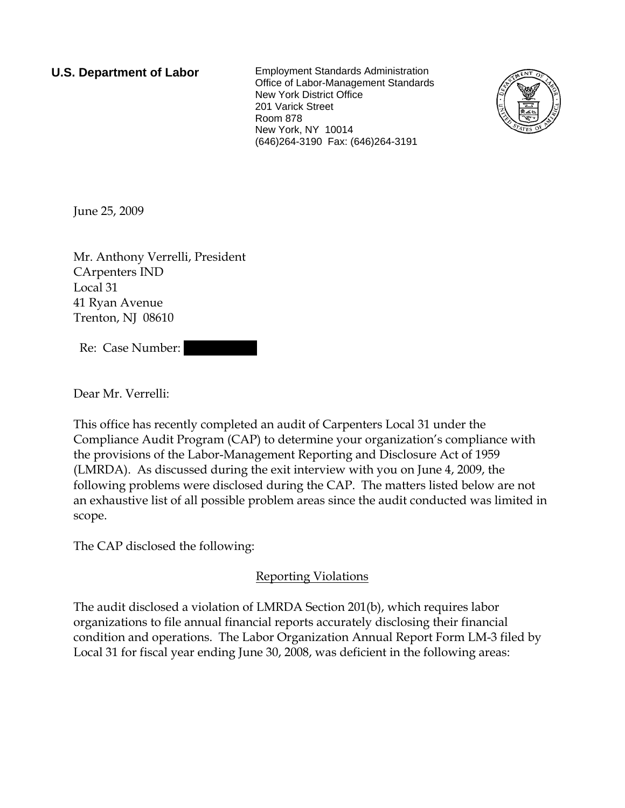**U.S. Department of Labor** Employment Standards Administration Office of Labor-Management Standards New York District Office 201 Varick Street Room 878 New York, NY 10014 (646)264-3190 Fax: (646)264-3191



June 25, 2009

Mr. Anthony Verrelli, President CArpenters IND Local 31 41 Ryan Avenue Trenton, NJ 08610

Re: Case Number:

Dear Mr. Verrelli:

This office has recently completed an audit of Carpenters Local 31 under the Compliance Audit Program (CAP) to determine your organization's compliance with the provisions of the Labor-Management Reporting and Disclosure Act of 1959 (LMRDA). As discussed during the exit interview with you on June 4, 2009, the following problems were disclosed during the CAP. The matters listed below are not an exhaustive list of all possible problem areas since the audit conducted was limited in scope.

The CAP disclosed the following:

### Reporting Violations

The audit disclosed a violation of LMRDA Section 201(b), which requires labor organizations to file annual financial reports accurately disclosing their financial condition and operations. The Labor Organization Annual Report Form LM-3 filed by Local 31 for fiscal year ending June 30, 2008, was deficient in the following areas: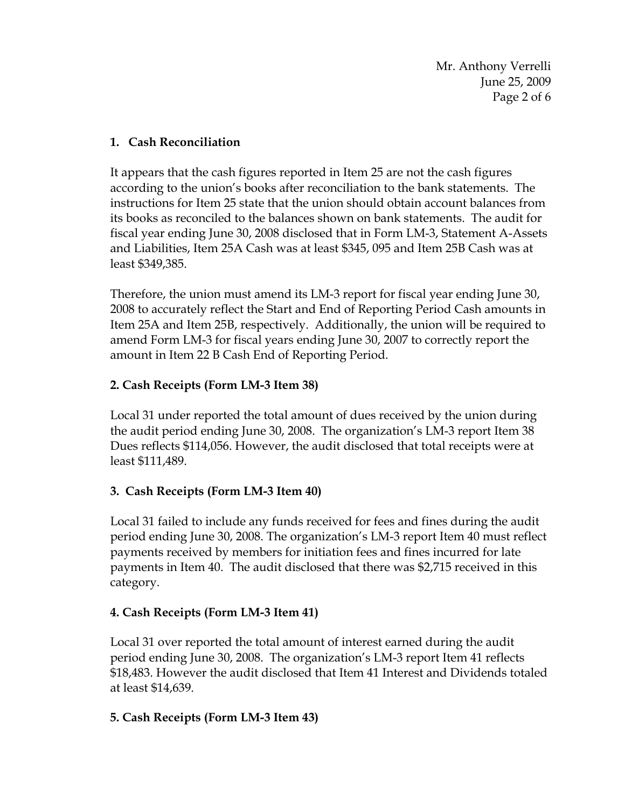Mr. Anthony Verrelli June 25, 2009 Page 2 of 6

#### **1. Cash Reconciliation**

It appears that the cash figures reported in Item 25 are not the cash figures according to the union's books after reconciliation to the bank statements. The instructions for Item 25 state that the union should obtain account balances from its books as reconciled to the balances shown on bank statements. The audit for fiscal year ending June 30, 2008 disclosed that in Form LM-3, Statement A-Assets and Liabilities, Item 25A Cash was at least \$345, 095 and Item 25B Cash was at least \$349,385.

Therefore, the union must amend its LM-3 report for fiscal year ending June 30, 2008 to accurately reflect the Start and End of Reporting Period Cash amounts in Item 25A and Item 25B, respectively. Additionally, the union will be required to amend Form LM-3 for fiscal years ending June 30, 2007 to correctly report the amount in Item 22 B Cash End of Reporting Period.

### **2. Cash Receipts (Form LM-3 Item 38)**

Local 31 under reported the total amount of dues received by the union during the audit period ending June 30, 2008. The organization's LM-3 report Item 38 Dues reflects \$114,056. However, the audit disclosed that total receipts were at least \$111,489.

### **3. Cash Receipts (Form LM-3 Item 40)**

Local 31 failed to include any funds received for fees and fines during the audit period ending June 30, 2008. The organization's LM-3 report Item 40 must reflect payments received by members for initiation fees and fines incurred for late payments in Item 40. The audit disclosed that there was \$2,715 received in this category.

### **4. Cash Receipts (Form LM-3 Item 41)**

Local 31 over reported the total amount of interest earned during the audit period ending June 30, 2008. The organization's LM-3 report Item 41 reflects \$18,483. However the audit disclosed that Item 41 Interest and Dividends totaled at least \$14,639.

### **5. Cash Receipts (Form LM-3 Item 43)**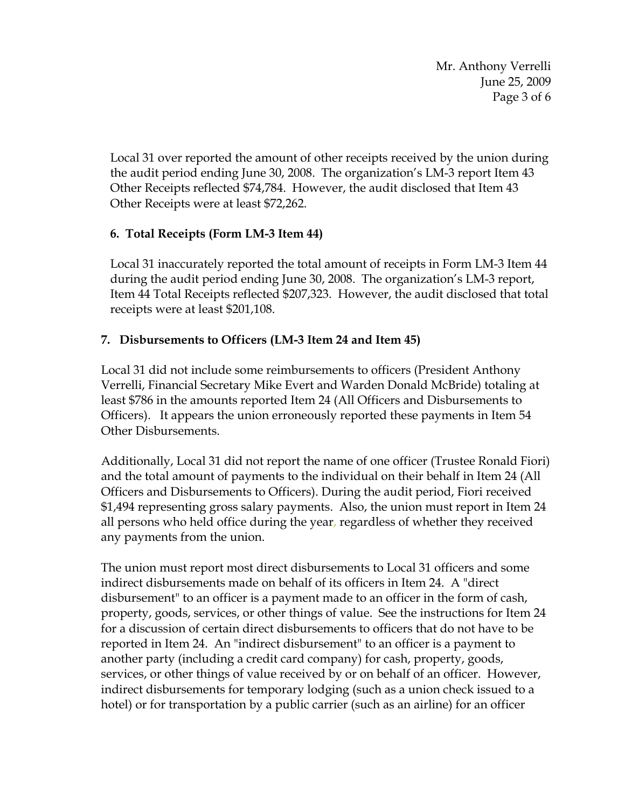Mr. Anthony Verrelli June 25, 2009 Page 3 of 6

Local 31 over reported the amount of other receipts received by the union during the audit period ending June 30, 2008. The organization's LM-3 report Item 43 Other Receipts reflected \$74,784. However, the audit disclosed that Item 43 Other Receipts were at least \$72,262.

## **6. Total Receipts (Form LM-3 Item 44)**

Local 31 inaccurately reported the total amount of receipts in Form LM-3 Item 44 during the audit period ending June 30, 2008. The organization's LM-3 report, Item 44 Total Receipts reflected \$207,323. However, the audit disclosed that total receipts were at least \$201,108.

# **7. Disbursements to Officers (LM-3 Item 24 and Item 45)**

Local 31 did not include some reimbursements to officers (President Anthony Verrelli, Financial Secretary Mike Evert and Warden Donald McBride) totaling at least \$786 in the amounts reported Item 24 (All Officers and Disbursements to Officers). It appears the union erroneously reported these payments in Item 54 Other Disbursements.

Additionally, Local 31 did not report the name of one officer (Trustee Ronald Fiori) and the total amount of payments to the individual on their behalf in Item 24 (All Officers and Disbursements to Officers). During the audit period, Fiori received \$1,494 representing gross salary payments. Also, the union must report in Item 24 all persons who held office during the year, regardless of whether they received any payments from the union.

The union must report most direct disbursements to Local 31 officers and some indirect disbursements made on behalf of its officers in Item 24. A "direct disbursement" to an officer is a payment made to an officer in the form of cash, property, goods, services, or other things of value. See the instructions for Item 24 for a discussion of certain direct disbursements to officers that do not have to be reported in Item 24. An "indirect disbursement" to an officer is a payment to another party (including a credit card company) for cash, property, goods, services, or other things of value received by or on behalf of an officer. However, indirect disbursements for temporary lodging (such as a union check issued to a hotel) or for transportation by a public carrier (such as an airline) for an officer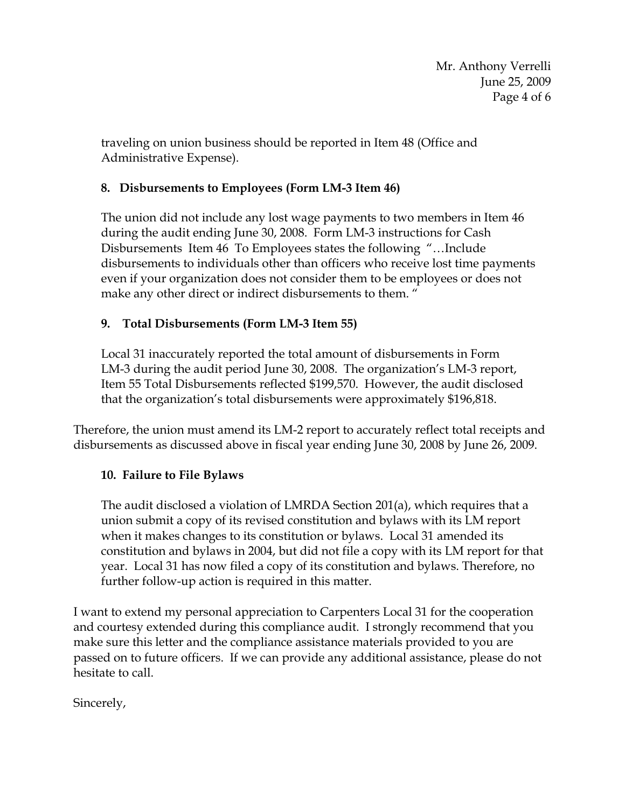traveling on union business should be reported in Item 48 (Office and Administrative Expense).

### **8. Disbursements to Employees (Form LM-3 Item 46)**

The union did not include any lost wage payments to two members in Item 46 during the audit ending June 30, 2008. Form LM-3 instructions for Cash Disbursements Item 46 To Employees states the following "…Include disbursements to individuals other than officers who receive lost time payments even if your organization does not consider them to be employees or does not make any other direct or indirect disbursements to them. "

## **9. Total Disbursements (Form LM-3 Item 55)**

Local 31 inaccurately reported the total amount of disbursements in Form LM-3 during the audit period June 30, 2008. The organization's LM-3 report, Item 55 Total Disbursements reflected \$199,570. However, the audit disclosed that the organization's total disbursements were approximately \$196,818.

Therefore, the union must amend its LM-2 report to accurately reflect total receipts and disbursements as discussed above in fiscal year ending June 30, 2008 by June 26, 2009.

### **10. Failure to File Bylaws**

The audit disclosed a violation of LMRDA Section 201(a), which requires that a union submit a copy of its revised constitution and bylaws with its LM report when it makes changes to its constitution or bylaws. Local 31 amended its constitution and bylaws in 2004, but did not file a copy with its LM report for that year. Local 31 has now filed a copy of its constitution and bylaws. Therefore, no further follow-up action is required in this matter.

I want to extend my personal appreciation to Carpenters Local 31 for the cooperation and courtesy extended during this compliance audit. I strongly recommend that you make sure this letter and the compliance assistance materials provided to you are passed on to future officers. If we can provide any additional assistance, please do not hesitate to call.

Sincerely,